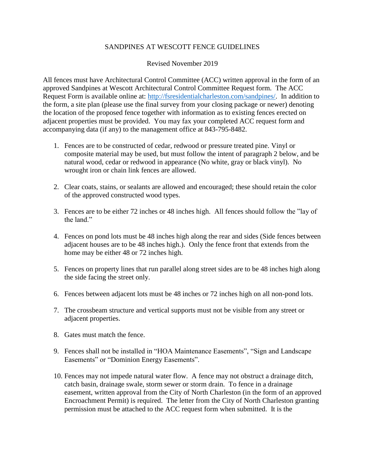## SANDPINES AT WESCOTT FENCE GUIDELINES

## Revised November 2019

All fences must have Architectural Control Committee (ACC) written approval in the form of an approved Sandpines at Wescott Architectural Control Committee Request form. The ACC Request Form is available online at: [http://fsresidentialcharleston.com/sandpines/.](http://fsresidentialcharleston.com/sandpines/) In addition to the form, a site plan (please use the final survey from your closing package or newer) denoting the location of the proposed fence together with information as to existing fences erected on adjacent properties must be provided. You may fax your completed ACC request form and accompanying data (if any) to the management office at 843-795-8482.

- 1. Fences are to be constructed of cedar, redwood or pressure treated pine. Vinyl or composite material may be used, but must follow the intent of paragraph 2 below, and be natural wood, cedar or redwood in appearance (No white, gray or black vinyl). No wrought iron or chain link fences are allowed.
- 2. Clear coats, stains, or sealants are allowed and encouraged; these should retain the color of the approved constructed wood types.
- 3. Fences are to be either 72 inches or 48 inches high. All fences should follow the "lay of the land."
- 4. Fences on pond lots must be 48 inches high along the rear and sides (Side fences between adjacent houses are to be 48 inches high.). Only the fence front that extends from the home may be either 48 or 72 inches high.
- 5. Fences on property lines that run parallel along street sides are to be 48 inches high along the side facing the street only.
- 6. Fences between adjacent lots must be 48 inches or 72 inches high on all non-pond lots.
- 7. The crossbeam structure and vertical supports must not be visible from any street or adjacent properties.
- 8. Gates must match the fence.
- 9. Fences shall not be installed in "HOA Maintenance Easements", "Sign and Landscape Easements" or "Dominion Energy Easements".
- 10. Fences may not impede natural water flow. A fence may not obstruct a drainage ditch, catch basin, drainage swale, storm sewer or storm drain. To fence in a drainage easement, written approval from the City of North Charleston (in the form of an approved Encroachment Permit) is required. The letter from the City of North Charleston granting permission must be attached to the ACC request form when submitted. It is the